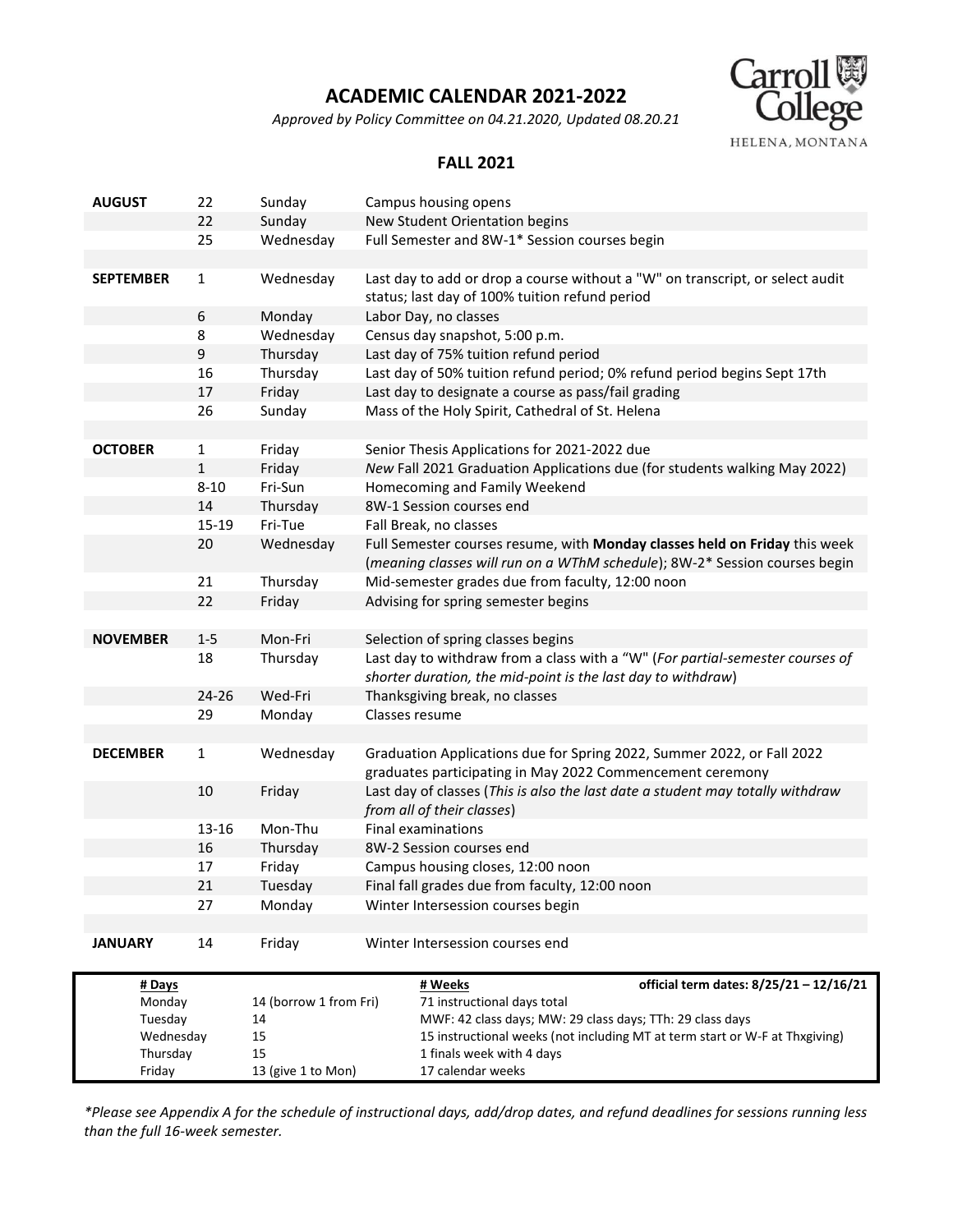*Approved by Policy Committee on 04.21.2020, Updated 08.20.21*



#### **FALL 2021**

| <b>AUGUST</b>    | 22           | Sunday                 | Campus housing opens                                                                                                            |                                                                                                                                     |  |  |  |  |
|------------------|--------------|------------------------|---------------------------------------------------------------------------------------------------------------------------------|-------------------------------------------------------------------------------------------------------------------------------------|--|--|--|--|
|                  | 22           | Sunday                 |                                                                                                                                 | New Student Orientation begins                                                                                                      |  |  |  |  |
|                  | 25           | Wednesday              |                                                                                                                                 | Full Semester and 8W-1* Session courses begin                                                                                       |  |  |  |  |
|                  |              |                        |                                                                                                                                 |                                                                                                                                     |  |  |  |  |
| <b>SEPTEMBER</b> | $\mathbf{1}$ | Wednesday              | Last day to add or drop a course without a "W" on transcript, or select audit<br>status; last day of 100% tuition refund period |                                                                                                                                     |  |  |  |  |
|                  | 6            | Monday                 |                                                                                                                                 | Labor Day, no classes                                                                                                               |  |  |  |  |
|                  | 8            | Wednesday              |                                                                                                                                 | Census day snapshot, 5:00 p.m.                                                                                                      |  |  |  |  |
|                  | 9            | Thursday               |                                                                                                                                 | Last day of 75% tuition refund period                                                                                               |  |  |  |  |
|                  | 16           | Thursday               |                                                                                                                                 | Last day of 50% tuition refund period; 0% refund period begins Sept 17th                                                            |  |  |  |  |
|                  | 17           | Friday                 |                                                                                                                                 | Last day to designate a course as pass/fail grading                                                                                 |  |  |  |  |
|                  | 26           | Sunday                 |                                                                                                                                 | Mass of the Holy Spirit, Cathedral of St. Helena                                                                                    |  |  |  |  |
|                  |              |                        |                                                                                                                                 |                                                                                                                                     |  |  |  |  |
| <b>OCTOBER</b>   | $\mathbf{1}$ | Friday                 |                                                                                                                                 | Senior Thesis Applications for 2021-2022 due                                                                                        |  |  |  |  |
|                  | $\mathbf{1}$ | Friday                 |                                                                                                                                 | New Fall 2021 Graduation Applications due (for students walking May 2022)                                                           |  |  |  |  |
|                  | $8 - 10$     | Fri-Sun                |                                                                                                                                 | Homecoming and Family Weekend                                                                                                       |  |  |  |  |
|                  | 14           | Thursday               |                                                                                                                                 | 8W-1 Session courses end                                                                                                            |  |  |  |  |
|                  | 15-19        | Fri-Tue                |                                                                                                                                 | Fall Break, no classes                                                                                                              |  |  |  |  |
|                  | 20           | Wednesday              |                                                                                                                                 | Full Semester courses resume, with Monday classes held on Friday this week                                                          |  |  |  |  |
|                  |              |                        |                                                                                                                                 | (meaning classes will run on a WThM schedule); 8W-2* Session courses begin                                                          |  |  |  |  |
|                  | 21           | Thursday               |                                                                                                                                 | Mid-semester grades due from faculty, 12:00 noon                                                                                    |  |  |  |  |
|                  | 22           | Friday                 |                                                                                                                                 | Advising for spring semester begins                                                                                                 |  |  |  |  |
|                  |              |                        |                                                                                                                                 |                                                                                                                                     |  |  |  |  |
| <b>NOVEMBER</b>  | $1 - 5$      | Mon-Fri                |                                                                                                                                 | Selection of spring classes begins                                                                                                  |  |  |  |  |
|                  | 18           | Thursday               |                                                                                                                                 | Last day to withdraw from a class with a "W" (For partial-semester courses of                                                       |  |  |  |  |
|                  |              |                        |                                                                                                                                 | shorter duration, the mid-point is the last day to withdraw)                                                                        |  |  |  |  |
|                  | 24-26        | Wed-Fri                |                                                                                                                                 | Thanksgiving break, no classes                                                                                                      |  |  |  |  |
|                  | 29           | Monday                 |                                                                                                                                 | Classes resume                                                                                                                      |  |  |  |  |
|                  |              |                        |                                                                                                                                 |                                                                                                                                     |  |  |  |  |
| <b>DECEMBER</b>  | $\mathbf{1}$ | Wednesday              |                                                                                                                                 | Graduation Applications due for Spring 2022, Summer 2022, or Fall 2022<br>graduates participating in May 2022 Commencement ceremony |  |  |  |  |
|                  | 10           | Friday                 | Last day of classes (This is also the last date a student may totally withdraw<br>from all of their classes)                    |                                                                                                                                     |  |  |  |  |
|                  | 13-16        | Mon-Thu                |                                                                                                                                 | <b>Final examinations</b>                                                                                                           |  |  |  |  |
|                  | 16           | Thursday               |                                                                                                                                 | 8W-2 Session courses end                                                                                                            |  |  |  |  |
|                  | 17           | Friday                 |                                                                                                                                 | Campus housing closes, 12:00 noon                                                                                                   |  |  |  |  |
|                  | 21           | Tuesday                |                                                                                                                                 | Final fall grades due from faculty, 12:00 noon                                                                                      |  |  |  |  |
|                  | 27           | Monday                 |                                                                                                                                 | Winter Intersession courses begin                                                                                                   |  |  |  |  |
|                  |              |                        |                                                                                                                                 |                                                                                                                                     |  |  |  |  |
| <b>JANUARY</b>   | 14           | Friday                 |                                                                                                                                 | Winter Intersession courses end                                                                                                     |  |  |  |  |
| # Days           |              |                        |                                                                                                                                 | official term dates: 8/25/21 - 12/16/21<br># Weeks                                                                                  |  |  |  |  |
| Monday           |              | 14 (borrow 1 from Fri) |                                                                                                                                 | 71 instructional days total                                                                                                         |  |  |  |  |
| Tuesday          |              | 14                     |                                                                                                                                 | MWF: 42 class days; MW: 29 class days; TTh: 29 class days                                                                           |  |  |  |  |
| Wednesday        |              | 15                     |                                                                                                                                 | 15 instructional weeks (not including MT at term start or W-F at Thxgiving)                                                         |  |  |  |  |
| Thursday         |              | 15                     |                                                                                                                                 | 1 finals week with 4 days                                                                                                           |  |  |  |  |
| Friday           |              | 13 (give 1 to Mon)     |                                                                                                                                 | 17 calendar weeks                                                                                                                   |  |  |  |  |

*\*Please see Appendix A for the schedule of instructional days, add/drop dates, and refund deadlines for sessions running less than the full 16-week semester.*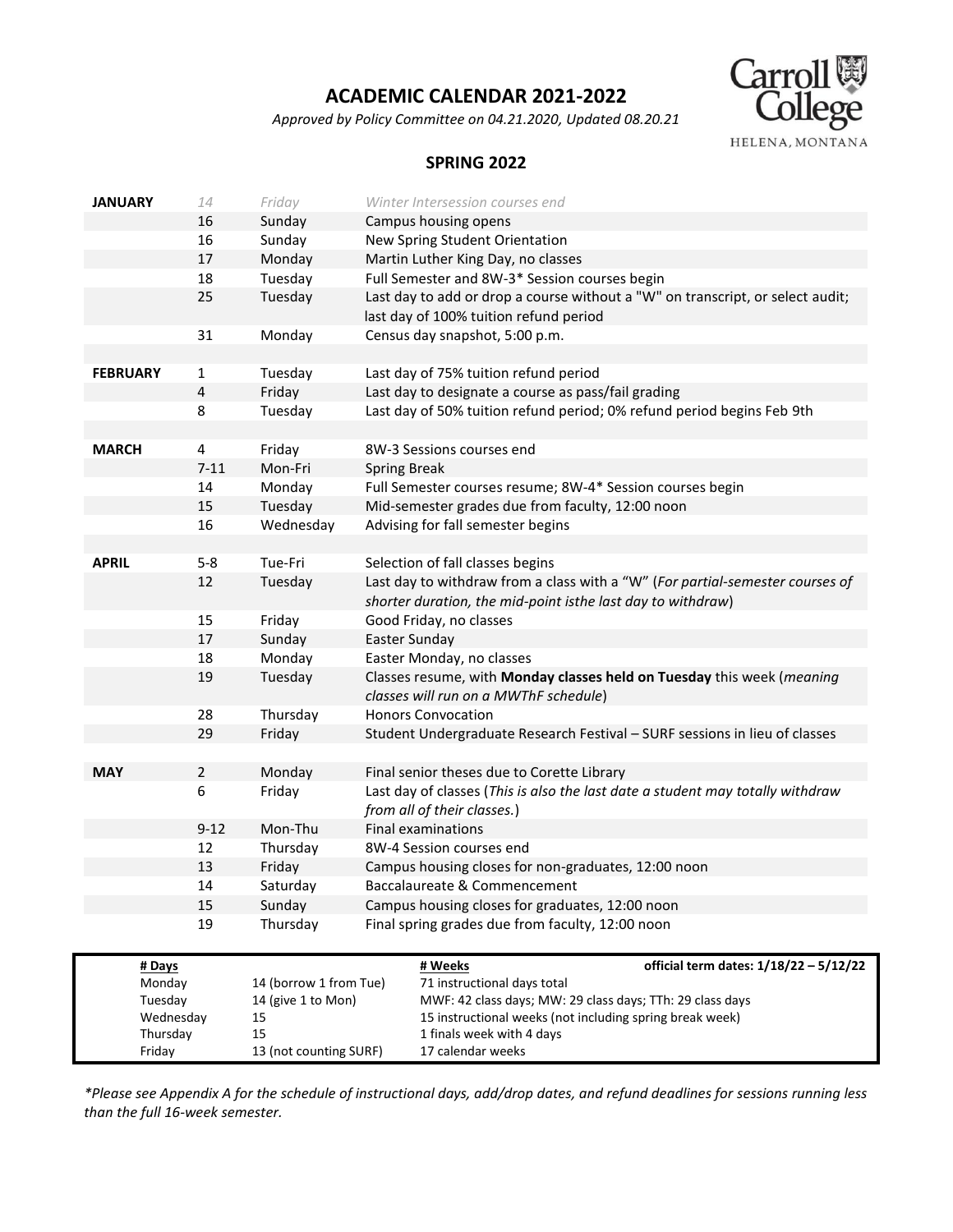*Approved by Policy Committee on 04.21.2020, Updated 08.20.21*



#### **SPRING 2022**

| <b>JANUARY</b>  | 14             | Friday                 | Winter Intersession courses end                                                |  |  |  |  |  |
|-----------------|----------------|------------------------|--------------------------------------------------------------------------------|--|--|--|--|--|
|                 | 16             | Sunday                 | Campus housing opens                                                           |  |  |  |  |  |
|                 | 16             | Sunday                 | New Spring Student Orientation                                                 |  |  |  |  |  |
|                 | 17             | Monday                 | Martin Luther King Day, no classes                                             |  |  |  |  |  |
|                 | 18             | Tuesday                | Full Semester and 8W-3* Session courses begin                                  |  |  |  |  |  |
|                 | 25             | Tuesday                | Last day to add or drop a course without a "W" on transcript, or select audit; |  |  |  |  |  |
|                 |                |                        | last day of 100% tuition refund period                                         |  |  |  |  |  |
|                 | 31             | Monday                 | Census day snapshot, 5:00 p.m.                                                 |  |  |  |  |  |
|                 |                |                        |                                                                                |  |  |  |  |  |
| <b>FEBRUARY</b> | 1              | Tuesday                | Last day of 75% tuition refund period                                          |  |  |  |  |  |
|                 | 4              | Friday                 | Last day to designate a course as pass/fail grading                            |  |  |  |  |  |
|                 | 8              | Tuesday                | Last day of 50% tuition refund period; 0% refund period begins Feb 9th         |  |  |  |  |  |
|                 |                |                        |                                                                                |  |  |  |  |  |
| <b>MARCH</b>    | 4              | Friday                 | 8W-3 Sessions courses end                                                      |  |  |  |  |  |
|                 | $7 - 11$       | Mon-Fri                | <b>Spring Break</b>                                                            |  |  |  |  |  |
|                 | 14             | Monday                 | Full Semester courses resume; 8W-4* Session courses begin                      |  |  |  |  |  |
|                 | 15             | Tuesday                | Mid-semester grades due from faculty, 12:00 noon                               |  |  |  |  |  |
|                 | 16             | Wednesday              | Advising for fall semester begins                                              |  |  |  |  |  |
|                 |                |                        |                                                                                |  |  |  |  |  |
| <b>APRIL</b>    | $5 - 8$        | Tue-Fri                | Selection of fall classes begins                                               |  |  |  |  |  |
|                 | 12             | Tuesday                | Last day to withdraw from a class with a "W" (For partial-semester courses of  |  |  |  |  |  |
|                 |                |                        | shorter duration, the mid-point isthe last day to withdraw)                    |  |  |  |  |  |
| 15              |                | Friday                 | Good Friday, no classes                                                        |  |  |  |  |  |
|                 | 17             | Sunday                 | Easter Sunday                                                                  |  |  |  |  |  |
|                 | 18             | Monday                 | Easter Monday, no classes                                                      |  |  |  |  |  |
|                 | 19             | Tuesday                | Classes resume, with Monday classes held on Tuesday this week (meaning         |  |  |  |  |  |
|                 |                |                        | classes will run on a MWThF schedule)                                          |  |  |  |  |  |
|                 | 28             | Thursday               | <b>Honors Convocation</b>                                                      |  |  |  |  |  |
|                 | 29             | Friday                 | Student Undergraduate Research Festival - SURF sessions in lieu of classes     |  |  |  |  |  |
|                 |                |                        |                                                                                |  |  |  |  |  |
| <b>MAY</b>      | $\overline{2}$ | Monday                 | Final senior theses due to Corette Library                                     |  |  |  |  |  |
|                 | 6              | Friday                 | Last day of classes (This is also the last date a student may totally withdraw |  |  |  |  |  |
|                 |                |                        | from all of their classes.)                                                    |  |  |  |  |  |
|                 | $9 - 12$       | Mon-Thu                | <b>Final examinations</b>                                                      |  |  |  |  |  |
|                 | 12             | Thursday               | 8W-4 Session courses end                                                       |  |  |  |  |  |
|                 | 13             | Friday                 | Campus housing closes for non-graduates, 12:00 noon                            |  |  |  |  |  |
|                 | 14             | Saturday               | Baccalaureate & Commencement                                                   |  |  |  |  |  |
|                 | 15             | Sunday                 | Campus housing closes for graduates, 12:00 noon                                |  |  |  |  |  |
|                 | 19             | Thursday               | Final spring grades due from faculty, 12:00 noon                               |  |  |  |  |  |
|                 |                |                        |                                                                                |  |  |  |  |  |
| # Days          |                |                        | # Weeks<br>official term dates: 1/18/22 - 5/12/22                              |  |  |  |  |  |
| Monday          |                | 14 (borrow 1 from Tue) | 71 instructional days total                                                    |  |  |  |  |  |
| Tuesday         |                | 14 (give 1 to Mon)     | MWF: 42 class days; MW: 29 class days; TTh: 29 class days                      |  |  |  |  |  |
| Wednesday       |                | 15                     | 15 instructional weeks (not including spring break week)                       |  |  |  |  |  |
| Thursday        |                | 15                     | 1 finals week with 4 days                                                      |  |  |  |  |  |
| Friday          |                | 13 (not counting SURF) | 17 calendar weeks                                                              |  |  |  |  |  |

*\*Please see Appendix A for the schedule of instructional days, add/drop dates, and refund deadlines for sessions running less than the full 16-week semester.*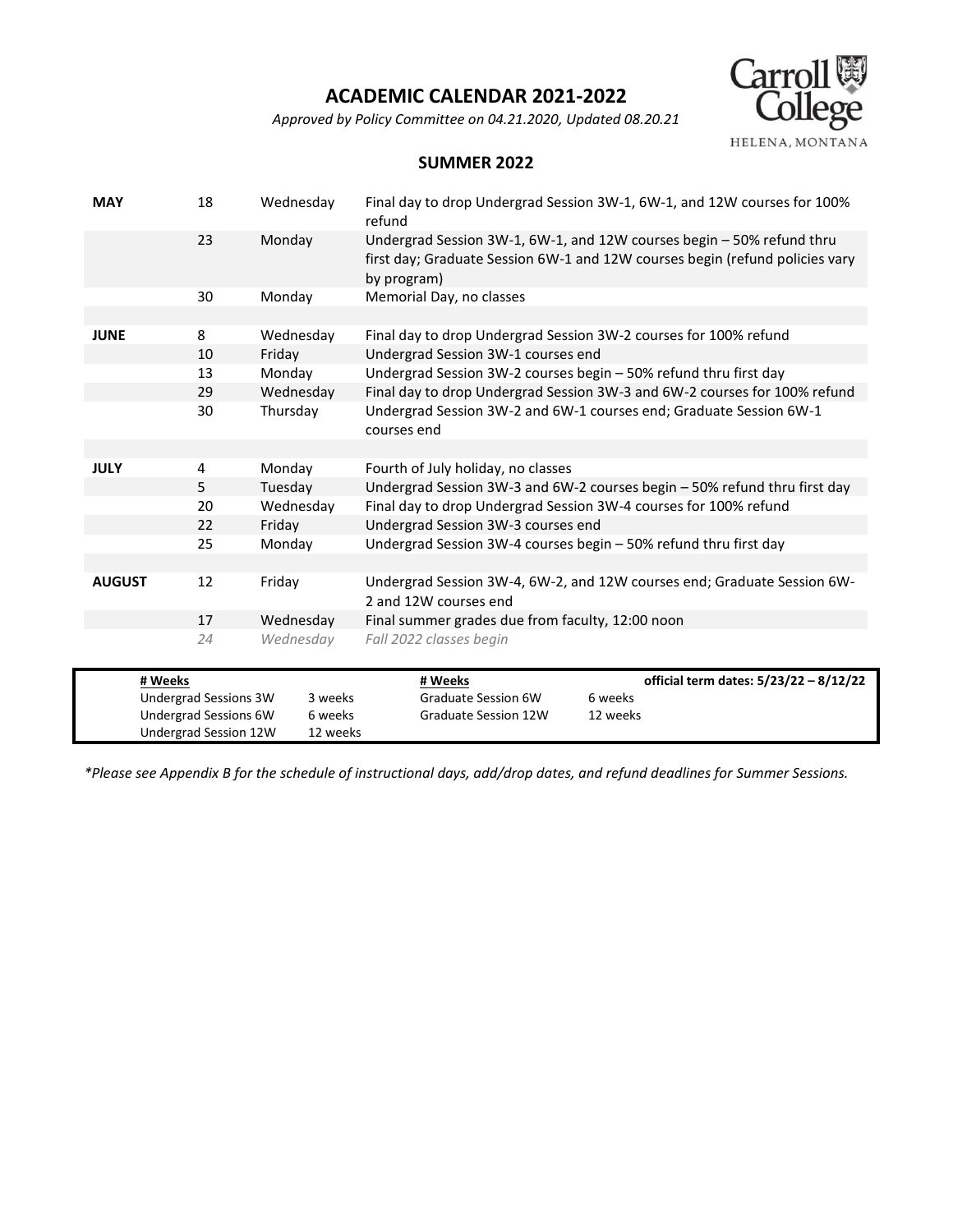*Approved by Policy Committee on 04.21.2020, Updated 08.20.21*



#### **SUMMER 2022**

| <b>MAY</b>    | 18                                             | Wednesday          | refund                                                                                                                                                               | Final day to drop Undergrad Session 3W-1, 6W-1, and 12W courses for 100%  |  |  |  |  |  |
|---------------|------------------------------------------------|--------------------|----------------------------------------------------------------------------------------------------------------------------------------------------------------------|---------------------------------------------------------------------------|--|--|--|--|--|
|               | 23                                             | Monday             | Undergrad Session 3W-1, 6W-1, and 12W courses begin - 50% refund thru<br>first day; Graduate Session 6W-1 and 12W courses begin (refund policies vary<br>by program) |                                                                           |  |  |  |  |  |
|               | 30                                             | Monday             | Memorial Day, no classes                                                                                                                                             |                                                                           |  |  |  |  |  |
|               |                                                |                    |                                                                                                                                                                      |                                                                           |  |  |  |  |  |
| <b>JUNE</b>   | 8                                              | Wednesday          | Final day to drop Undergrad Session 3W-2 courses for 100% refund                                                                                                     |                                                                           |  |  |  |  |  |
|               | 10                                             | Friday             |                                                                                                                                                                      | Undergrad Session 3W-1 courses end                                        |  |  |  |  |  |
|               | 13                                             | Monday             |                                                                                                                                                                      | Undergrad Session 3W-2 courses begin - 50% refund thru first day          |  |  |  |  |  |
|               | 29                                             | Wednesday          |                                                                                                                                                                      | Final day to drop Undergrad Session 3W-3 and 6W-2 courses for 100% refund |  |  |  |  |  |
|               | 30                                             | Thursday           | Undergrad Session 3W-2 and 6W-1 courses end; Graduate Session 6W-1<br>courses end                                                                                    |                                                                           |  |  |  |  |  |
|               |                                                |                    |                                                                                                                                                                      |                                                                           |  |  |  |  |  |
| <b>JULY</b>   | 4                                              | Monday             | Fourth of July holiday, no classes                                                                                                                                   |                                                                           |  |  |  |  |  |
|               | 5                                              | Tuesday            | Undergrad Session 3W-3 and 6W-2 courses begin - 50% refund thru first day                                                                                            |                                                                           |  |  |  |  |  |
|               | 20                                             | Wednesday          |                                                                                                                                                                      | Final day to drop Undergrad Session 3W-4 courses for 100% refund          |  |  |  |  |  |
|               | 22                                             | Friday             | Undergrad Session 3W-3 courses end                                                                                                                                   |                                                                           |  |  |  |  |  |
|               | 25                                             | Monday             | Undergrad Session 3W-4 courses begin – 50% refund thru first day                                                                                                     |                                                                           |  |  |  |  |  |
|               |                                                |                    |                                                                                                                                                                      |                                                                           |  |  |  |  |  |
| <b>AUGUST</b> | 12                                             | Friday             | Undergrad Session 3W-4, 6W-2, and 12W courses end; Graduate Session 6W-<br>2 and 12W courses end                                                                     |                                                                           |  |  |  |  |  |
|               | 17                                             | Wednesday          | Final summer grades due from faculty, 12:00 noon                                                                                                                     |                                                                           |  |  |  |  |  |
|               | 24                                             | Wednesday          | Fall 2022 classes begin                                                                                                                                              |                                                                           |  |  |  |  |  |
|               |                                                |                    |                                                                                                                                                                      |                                                                           |  |  |  |  |  |
| # Weeks       |                                                |                    | # Weeks                                                                                                                                                              | official term dates: 5/23/22 - 8/12/22                                    |  |  |  |  |  |
|               | Undergrad Sessions 3W<br>Undergrad Sessions 6W | 3 weeks<br>6 weeks | Graduate Session 6W<br><b>Graduate Session 12W</b>                                                                                                                   | 6 weeks<br>12 weeks                                                       |  |  |  |  |  |
|               | Undergrad Session 12W                          | 12 weeks           |                                                                                                                                                                      |                                                                           |  |  |  |  |  |

*\*Please see Appendix B for the schedule of instructional days, add/drop dates, and refund deadlines for Summer Sessions.*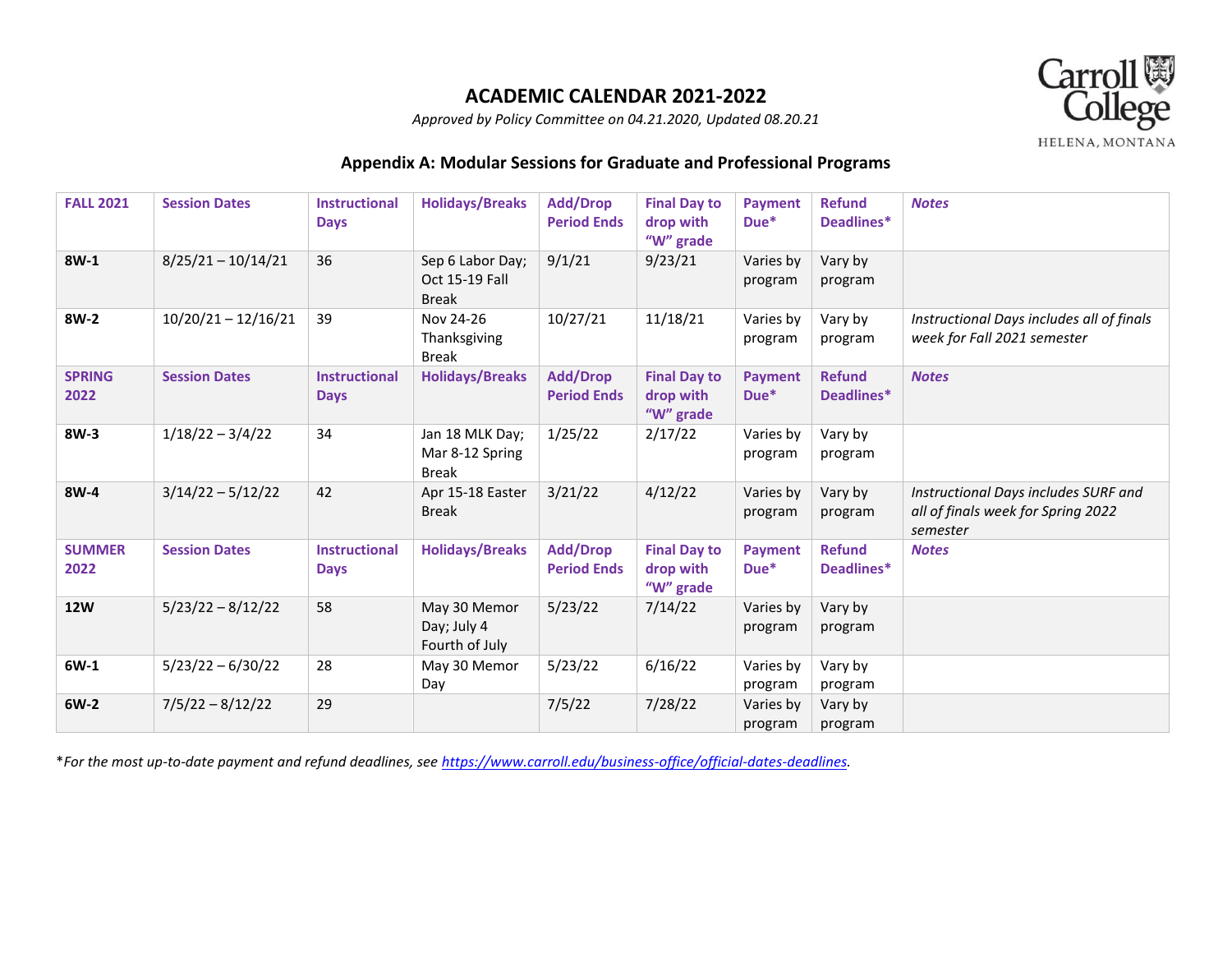

*Approved by Policy Committee on 04.21.2020, Updated 08.20.21*

## **Appendix A: Modular Sessions for Graduate and Professional Programs**

| <b>FALL 2021</b>      | <b>Session Dates</b>  | <b>Instructional</b><br><b>Days</b> | <b>Holidays/Breaks</b>                             | <b>Add/Drop</b><br><b>Period Ends</b> | <b>Final Day to</b><br>drop with<br>"W" grade | <b>Payment</b><br>$Due*$ | <b>Refund</b><br>Deadlines* | <b>Notes</b>                                                                           |
|-----------------------|-----------------------|-------------------------------------|----------------------------------------------------|---------------------------------------|-----------------------------------------------|--------------------------|-----------------------------|----------------------------------------------------------------------------------------|
| $8W-1$                | $8/25/21 - 10/14/21$  | 36                                  | Sep 6 Labor Day;<br>Oct 15-19 Fall<br><b>Break</b> | 9/1/21                                | 9/23/21                                       | Varies by<br>program     | Vary by<br>program          |                                                                                        |
| 8W-2                  | $10/20/21 - 12/16/21$ | 39                                  | Nov 24-26<br>Thanksgiving<br><b>Break</b>          | 10/27/21                              | 11/18/21                                      | Varies by<br>program     | Vary by<br>program          | Instructional Days includes all of finals<br>week for Fall 2021 semester               |
| <b>SPRING</b><br>2022 | <b>Session Dates</b>  | <b>Instructional</b><br><b>Days</b> | <b>Holidays/Breaks</b>                             | <b>Add/Drop</b><br><b>Period Ends</b> | <b>Final Day to</b><br>drop with<br>"W" grade | <b>Payment</b><br>$Due*$ | <b>Refund</b><br>Deadlines* | <b>Notes</b>                                                                           |
| $8W-3$                | $1/18/22 - 3/4/22$    | 34                                  | Jan 18 MLK Day;<br>Mar 8-12 Spring<br><b>Break</b> | 1/25/22                               | 2/17/22                                       | Varies by<br>program     | Vary by<br>program          |                                                                                        |
| 8W-4                  | $3/14/22 - 5/12/22$   | 42                                  | Apr 15-18 Easter<br><b>Break</b>                   | 3/21/22                               | 4/12/22                                       | Varies by<br>program     | Vary by<br>program          | Instructional Days includes SURF and<br>all of finals week for Spring 2022<br>semester |
| <b>SUMMER</b><br>2022 | <b>Session Dates</b>  | <b>Instructional</b><br><b>Days</b> | <b>Holidays/Breaks</b>                             | <b>Add/Drop</b><br><b>Period Ends</b> | <b>Final Day to</b><br>drop with<br>"W" grade | Payment<br>Due*          | <b>Refund</b><br>Deadlines* | <b>Notes</b>                                                                           |
| <b>12W</b>            | $5/23/22 - 8/12/22$   | 58                                  | May 30 Memor<br>Day; July 4<br>Fourth of July      | 5/23/22                               | 7/14/22                                       | Varies by<br>program     | Vary by<br>program          |                                                                                        |
| 6W-1                  | $5/23/22 - 6/30/22$   | 28                                  | May 30 Memor<br>Day                                | 5/23/22                               | 6/16/22                                       | Varies by<br>program     | Vary by<br>program          |                                                                                        |
| $6W-2$                | $7/5/22 - 8/12/22$    | 29                                  |                                                    | 7/5/22                                | 7/28/22                                       | Varies by<br>program     | Vary by<br>program          |                                                                                        |

\**For the most up-to-date payment and refund deadlines, see [https://www.carroll.edu/business-office/official-dates-deadlines.](https://www.carroll.edu/business-office/official-dates-deadlines)*